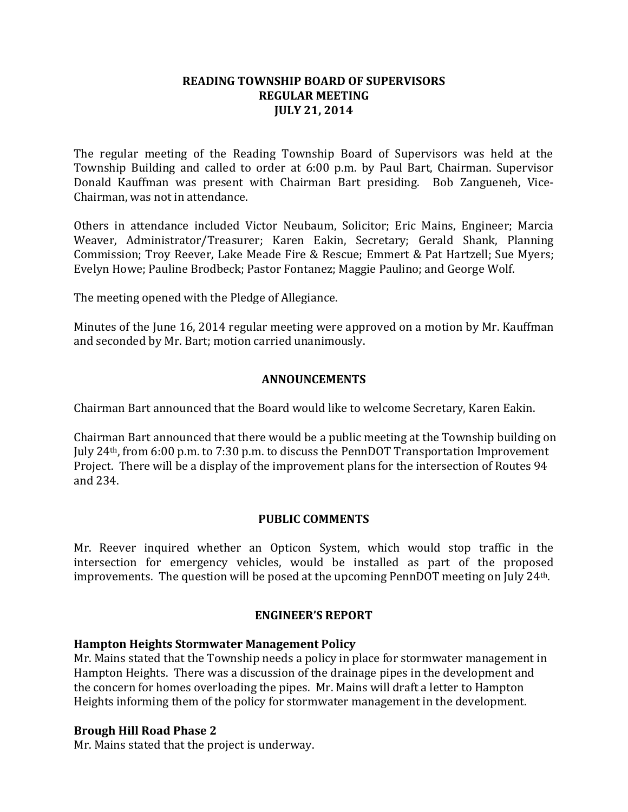## **READING TOWNSHIP BOARD OF SUPERVISORS REGULAR MEETING JULY 21, 2014**

The regular meeting of the Reading Township Board of Supervisors was held at the Township Building and called to order at 6:00 p.m. by Paul Bart, Chairman. Supervisor Donald Kauffman was present with Chairman Bart presiding. Bob Zangueneh, Vice-Chairman, was not in attendance.

Others in attendance included Victor Neubaum, Solicitor; Eric Mains, Engineer; Marcia Weaver, Administrator/Treasurer; Karen Eakin, Secretary; Gerald Shank, Planning Commission; Troy Reever, Lake Meade Fire & Rescue; Emmert & Pat Hartzell; Sue Myers; Evelyn Howe; Pauline Brodbeck; Pastor Fontanez; Maggie Paulino; and George Wolf.

The meeting opened with the Pledge of Allegiance.

Minutes of the June 16, 2014 regular meeting were approved on a motion by Mr. Kauffman and seconded by Mr. Bart; motion carried unanimously.

#### **ANNOUNCEMENTS**

Chairman Bart announced that the Board would like to welcome Secretary, Karen Eakin.

Chairman Bart announced that there would be a public meeting at the Township building on July 24th, from 6:00 p.m. to 7:30 p.m. to discuss the PennDOT Transportation Improvement Project. There will be a display of the improvement plans for the intersection of Routes 94 and 234.

#### **PUBLIC COMMENTS**

Mr. Reever inquired whether an Opticon System, which would stop traffic in the intersection for emergency vehicles, would be installed as part of the proposed improvements. The question will be posed at the upcoming PennDOT meeting on July 24th.

#### **ENGINEER'S REPORT**

#### **Hampton Heights Stormwater Management Policy**

Mr. Mains stated that the Township needs a policy in place for stormwater management in Hampton Heights. There was a discussion of the drainage pipes in the development and the concern for homes overloading the pipes. Mr. Mains will draft a letter to Hampton Heights informing them of the policy for stormwater management in the development.

#### **Brough Hill Road Phase 2**

Mr. Mains stated that the project is underway.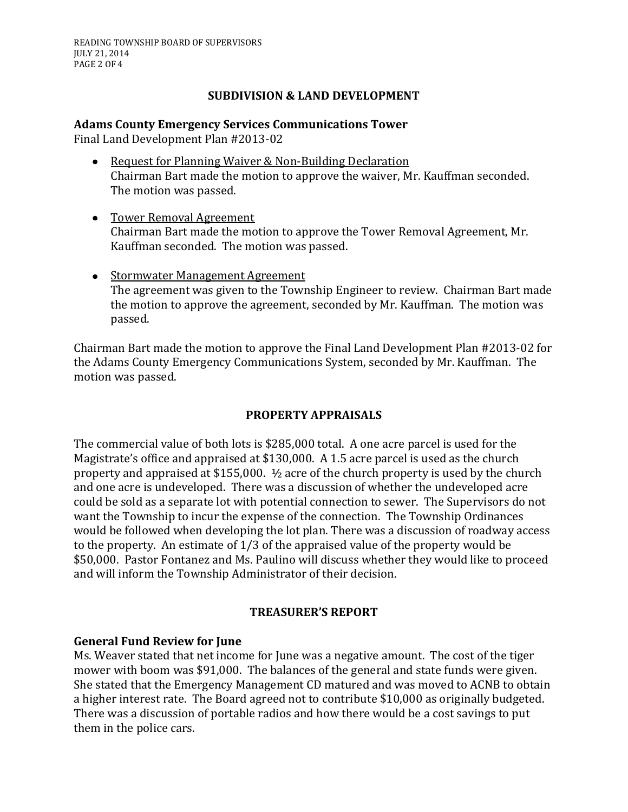# **SUBDIVISION & LAND DEVELOPMENT**

# **Adams County Emergency Services Communications Tower**

Final Land Development Plan #2013-02

- Request for Planning Waiver & Non-Building Declaration Chairman Bart made the motion to approve the waiver, Mr. Kauffman seconded. The motion was passed.
- Tower Removal Agreement Chairman Bart made the motion to approve the Tower Removal Agreement, Mr. Kauffman seconded. The motion was passed.
- Stormwater Management Agreement The agreement was given to the Township Engineer to review. Chairman Bart made the motion to approve the agreement, seconded by Mr. Kauffman. The motion was passed.

Chairman Bart made the motion to approve the Final Land Development Plan #2013-02 for the Adams County Emergency Communications System, seconded by Mr. Kauffman. The motion was passed.

# **PROPERTY APPRAISALS**

The commercial value of both lots is \$285,000 total. A one acre parcel is used for the Magistrate's office and appraised at \$130,000. A 1.5 acre parcel is used as the church property and appraised at \$155,000. ½ acre of the church property is used by the church and one acre is undeveloped. There was a discussion of whether the undeveloped acre could be sold as a separate lot with potential connection to sewer. The Supervisors do not want the Township to incur the expense of the connection. The Township Ordinances would be followed when developing the lot plan. There was a discussion of roadway access to the property. An estimate of 1/3 of the appraised value of the property would be \$50,000. Pastor Fontanez and Ms. Paulino will discuss whether they would like to proceed and will inform the Township Administrator of their decision.

# **TREASURER'S REPORT**

# **General Fund Review for June**

Ms. Weaver stated that net income for June was a negative amount. The cost of the tiger mower with boom was \$91,000. The balances of the general and state funds were given. She stated that the Emergency Management CD matured and was moved to ACNB to obtain a higher interest rate. The Board agreed not to contribute \$10,000 as originally budgeted. There was a discussion of portable radios and how there would be a cost savings to put them in the police cars.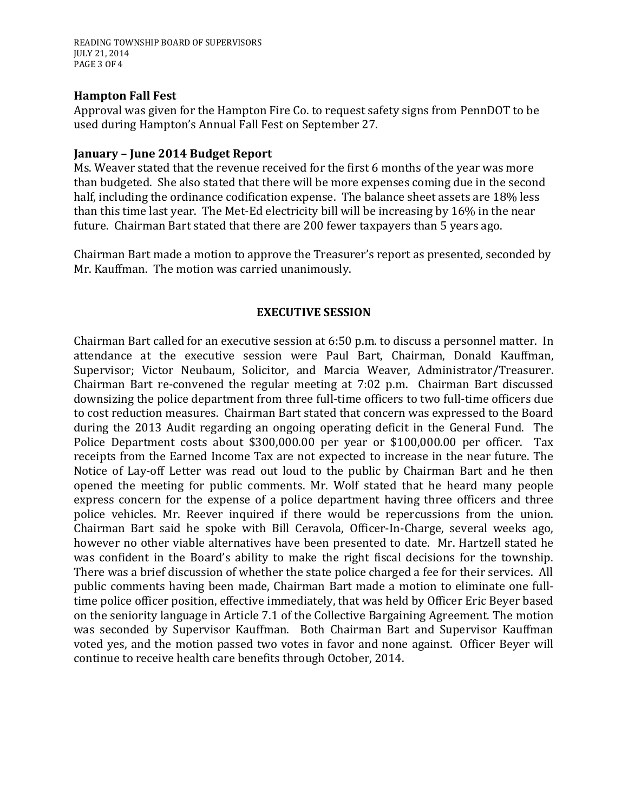READING TOWNSHIP BOARD OF SUPERVISORS JULY 21, 2014 PAGE 3 OF 4

#### **Hampton Fall Fest**

Approval was given for the Hampton Fire Co. to request safety signs from PennDOT to be used during Hampton's Annual Fall Fest on September 27.

#### **January – June 2014 Budget Report**

Ms. Weaver stated that the revenue received for the first 6 months of the year was more than budgeted. She also stated that there will be more expenses coming due in the second half, including the ordinance codification expense. The balance sheet assets are 18% less than this time last year. The Met-Ed electricity bill will be increasing by 16% in the near future. Chairman Bart stated that there are 200 fewer taxpayers than 5 years ago.

Chairman Bart made a motion to approve the Treasurer's report as presented, seconded by Mr. Kauffman. The motion was carried unanimously.

#### **EXECUTIVE SESSION**

Chairman Bart called for an executive session at 6:50 p.m. to discuss a personnel matter. In attendance at the executive session were Paul Bart, Chairman, Donald Kauffman, Supervisor; Victor Neubaum, Solicitor, and Marcia Weaver, Administrator/Treasurer. Chairman Bart re-convened the regular meeting at 7:02 p.m. Chairman Bart discussed downsizing the police department from three full-time officers to two full-time officers due to cost reduction measures. Chairman Bart stated that concern was expressed to the Board during the 2013 Audit regarding an ongoing operating deficit in the General Fund. The Police Department costs about \$300,000.00 per year or \$100,000.00 per officer. Tax receipts from the Earned Income Tax are not expected to increase in the near future. The Notice of Lay-off Letter was read out loud to the public by Chairman Bart and he then opened the meeting for public comments. Mr. Wolf stated that he heard many people express concern for the expense of a police department having three officers and three police vehicles. Mr. Reever inquired if there would be repercussions from the union. Chairman Bart said he spoke with Bill Ceravola, Officer-In-Charge, several weeks ago, however no other viable alternatives have been presented to date. Mr. Hartzell stated he was confident in the Board's ability to make the right fiscal decisions for the township. There was a brief discussion of whether the state police charged a fee for their services. All public comments having been made, Chairman Bart made a motion to eliminate one fulltime police officer position, effective immediately, that was held by Officer Eric Beyer based on the seniority language in Article 7.1 of the Collective Bargaining Agreement. The motion was seconded by Supervisor Kauffman. Both Chairman Bart and Supervisor Kauffman voted yes, and the motion passed two votes in favor and none against. Officer Beyer will continue to receive health care benefits through October, 2014.